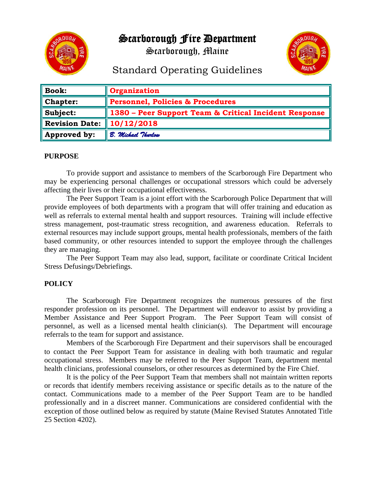

Scarborough Fire Department

Scarborough, Maine



## Standard Operating Guidelines

| <b>Book:</b>          | Organization                                          |
|-----------------------|-------------------------------------------------------|
| <b>Chapter:</b>       | <b>Personnel, Policies &amp; Procedures</b>           |
| Subject:              | 1380 – Peer Support Team & Critical Incident Response |
| <b>Revision Date:</b> | $\parallel$ 10/12/2018                                |
| Approved by:          | B. Michael Thurlow                                    |

## **PURPOSE**

To provide support and assistance to members of the Scarborough Fire Department who may be experiencing personal challenges or occupational stressors which could be adversely affecting their lives or their occupational effectiveness.

The Peer Support Team is a joint effort with the Scarborough Police Department that will provide employees of both departments with a program that will offer training and education as well as referrals to external mental health and support resources. Training will include effective stress management, post-traumatic stress recognition, and awareness education. Referrals to external resources may include support groups, mental health professionals, members of the faith based community, or other resources intended to support the employee through the challenges they are managing.

The Peer Support Team may also lead, support, facilitate or coordinate Critical Incident Stress Defusings/Debriefings.

## **POLICY**

 The Scarborough Fire Department recognizes the numerous pressures of the first responder profession on its personnel. The Department will endeavor to assist by providing a Member Assistance and Peer Support Program. The Peer Support Team will consist of personnel, as well as a licensed mental health clinician(s). The Department will encourage referrals to the team for support and assistance.

Members of the Scarborough Fire Department and their supervisors shall be encouraged to contact the Peer Support Team for assistance in dealing with both traumatic and regular occupational stress. Members may be referred to the Peer Support Team, department mental health clinicians, professional counselors, or other resources as determined by the Fire Chief.

It is the policy of the Peer Support Team that members shall not maintain written reports or records that identify members receiving assistance or specific details as to the nature of the contact. Communications made to a member of the Peer Support Team are to be handled professionally and in a discreet manner. Communications are considered confidential with the exception of those outlined below as required by statute (Maine Revised Statutes Annotated Title 25 Section 4202).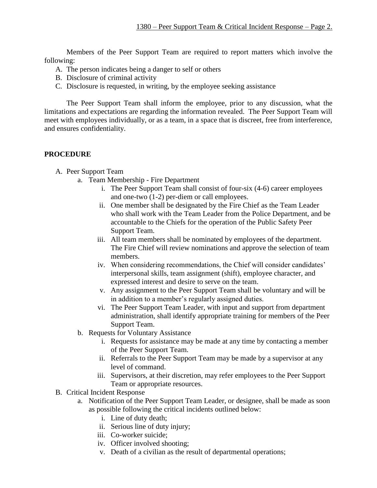Members of the Peer Support Team are required to report matters which involve the following:

- A. The person indicates being a danger to self or others
- B. Disclosure of criminal activity
- C. Disclosure is requested, in writing, by the employee seeking assistance

The Peer Support Team shall inform the employee, prior to any discussion, what the limitations and expectations are regarding the information revealed. The Peer Support Team will meet with employees individually, or as a team, in a space that is discreet, free from interference, and ensures confidentiality.

## **PROCEDURE**

A. Peer Support Team

- a. Team Membership Fire Department
	- i. The Peer Support Team shall consist of four-six (4-6) career employees and one-two (1-2) per-diem or call employees.
	- ii. One member shall be designated by the Fire Chief as the Team Leader who shall work with the Team Leader from the Police Department, and be accountable to the Chiefs for the operation of the Public Safety Peer Support Team.
	- iii. All team members shall be nominated by employees of the department. The Fire Chief will review nominations and approve the selection of team members.
	- iv. When considering recommendations, the Chief will consider candidates' interpersonal skills, team assignment (shift), employee character, and expressed interest and desire to serve on the team.
	- v. Any assignment to the Peer Support Team shall be voluntary and will be in addition to a member's regularly assigned duties.
	- vi. The Peer Support Team Leader, with input and support from department administration, shall identify appropriate training for members of the Peer Support Team.
- b. Requests for Voluntary Assistance
	- i. Requests for assistance may be made at any time by contacting a member of the Peer Support Team.
	- ii. Referrals to the Peer Support Team may be made by a supervisor at any level of command.
	- iii. Supervisors, at their discretion, may refer employees to the Peer Support Team or appropriate resources.
- B. Critical Incident Response
	- a. Notification of the Peer Support Team Leader, or designee, shall be made as soon as possible following the critical incidents outlined below:
		- i. Line of duty death;
		- ii. Serious line of duty injury;
		- iii. Co-worker suicide;
		- iv. Officer involved shooting;
		- v. Death of a civilian as the result of departmental operations;